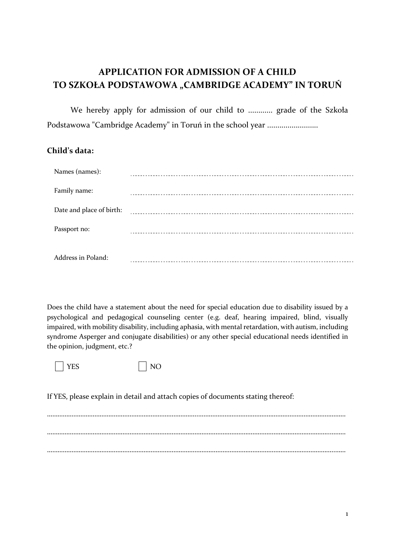## **APPLICATION FOR ADMISSION OF A CHILD TO SZKOŁA PODSTAWOWA "CAMBRIDGE ACADEMY" IN TORUŃ**

We hereby apply for admission of our child to ............ grade of the Szkoła Podstawowa "Cambridge Academy" in Toruń in the school year .........................

## **Child's data:**

| Names (names):           |  |
|--------------------------|--|
| Family name:             |  |
| Date and place of birth: |  |
| Passport no:             |  |
| Address in Poland:       |  |

Does the child have a statement about the need for special education due to disability issued by a psychological and pedagogical counseling center (e.g. deaf, hearing impaired, blind, visually impaired, with mobility disability, including aphasia, with mental retardation, with autism, including syndrome Asperger and conjugate disabilities) or any other special educational needs identified in the opinion, judgment, etc.?

YES NO

If YES, please explain in detail and attach copies of documents stating thereof:

…………………………………………………………………………..………………………………………………………………………… ……………………………………………………………………………………………………………………………………………..……… ………………………………………………………………………………………………………………………………………………..……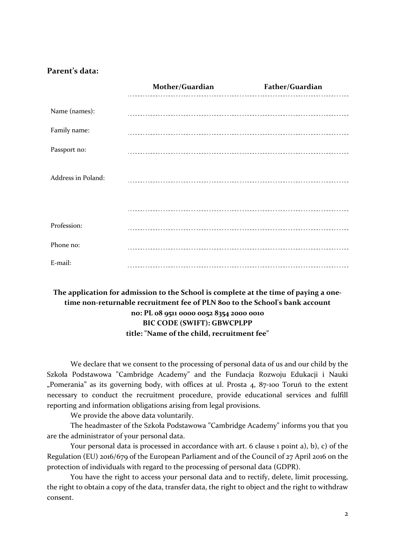## **Parent's data:**

|                    | Mother/Guardian | Father/Guardian |
|--------------------|-----------------|-----------------|
| Name (names):      |                 |                 |
| Family name:       |                 |                 |
| Passport no:       |                 |                 |
| Address in Poland: |                 |                 |
|                    |                 |                 |
| Profession:        |                 |                 |
| Phone no:          |                 |                 |
| E-mail:            |                 |                 |

## **The application for admission to the School is complete at the time of paying a onetime non-returnable recruitment fee of PLN 800 to the School's bank account no: PL 08 9511 0000 0052 8354 2000 0010 BIC CODE (SWIFT): GBWCPLPP title: "Name of the child, recruitment fee"**

We declare that we consent to the processing of personal data of us and our child by the Szkoła Podstawowa "Cambridge Academy" and the Fundacja Rozwoju Edukacji i Nauki "Pomerania" as its governing body, with offices at ul. Prosta 4, 87-100 Toruń to the extent necessary to conduct the recruitment procedure, provide educational services and fulfill reporting and information obligations arising from legal provisions.

We provide the above data voluntarily.

The headmaster of the Szkoła Podstawowa "Cambridge Academy" informs you that you are the administrator of your personal data.

Your personal data is processed in accordance with art. 6 clause 1 point a), b), c) of the Regulation (EU) 2016/679 of the European Parliament and of the Council of 27 April 2016 on the protection of individuals with regard to the processing of personal data (GDPR).

You have the right to access your personal data and to rectify, delete, limit processing, the right to obtain a copy of the data, transfer data, the right to object and the right to withdraw consent.